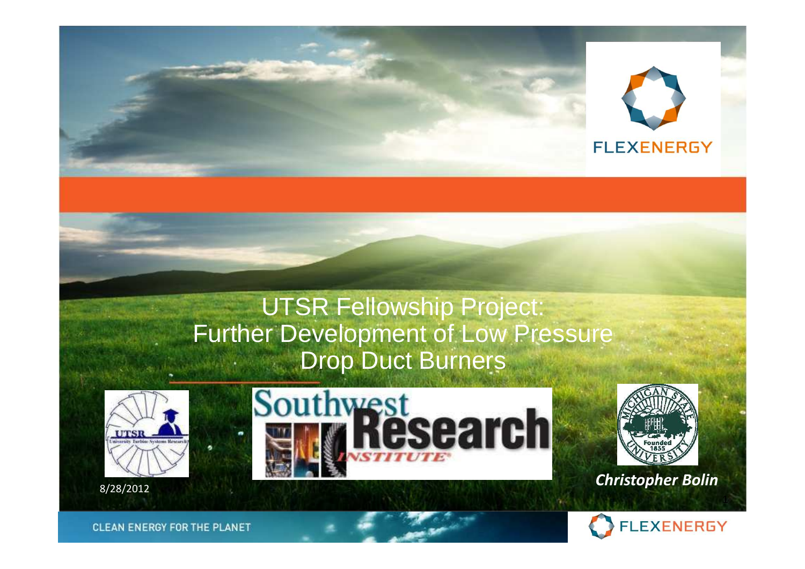

#### UTSR Fellowship Project: Further Development of Low Pressure Drop Duct Burners







*Christopher Bolin*8/28/2012 - Particular March 2013 - Particular March 2013 - Particular March 2014 - Particular March 2014 - Pa



**CLEAN ENERGY FOR THE PLANET**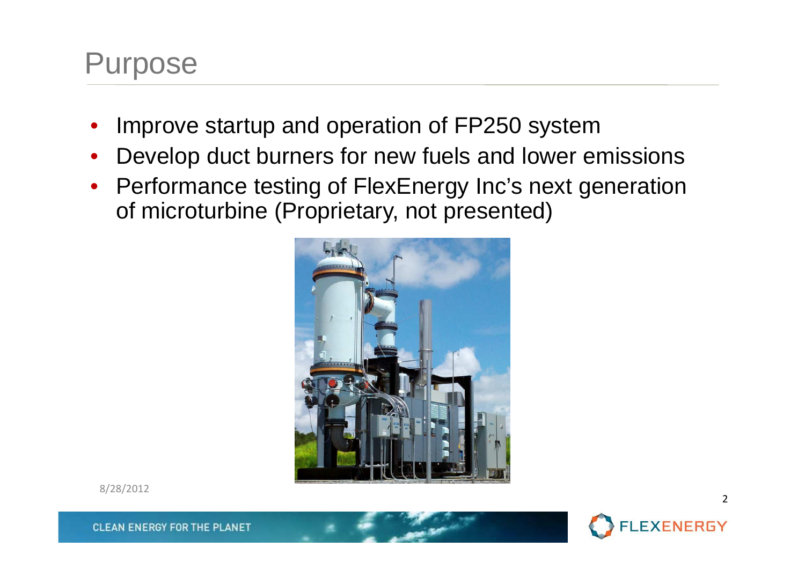#### Purpose

- •Improve startup and operation of FP250 system
- Develop duct burners for new fuels and lower emissions $\bullet$
- Performance testing of FlexEnergy Inc's next generation of microturbine (Proprietary, not presented)



8/28/2012



**CLEAN ENERGY FOR THE PLANET**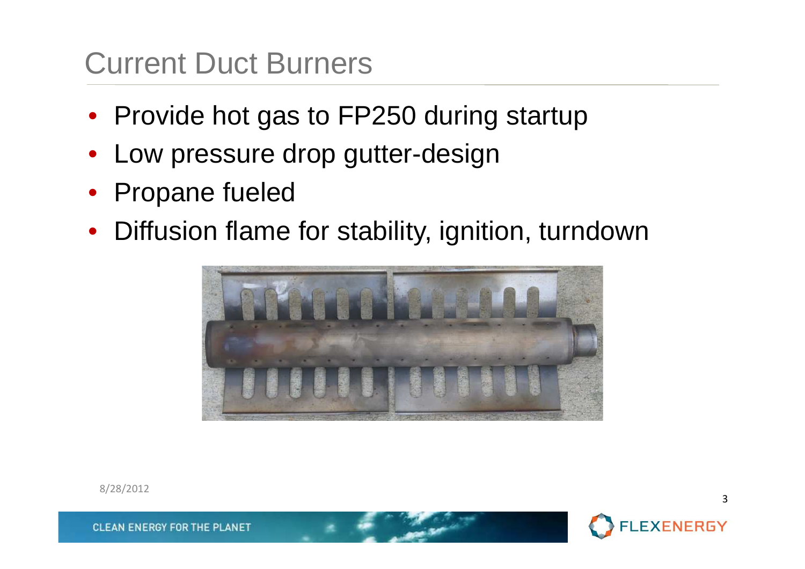### Current Duct Burners

- Provide hot gas to FP250 during startup
- $\bullet$ Low pressure drop gutter-design
- Propane fueled
- Diffusion flame for stability, ignition, turndown



8/28/2012



3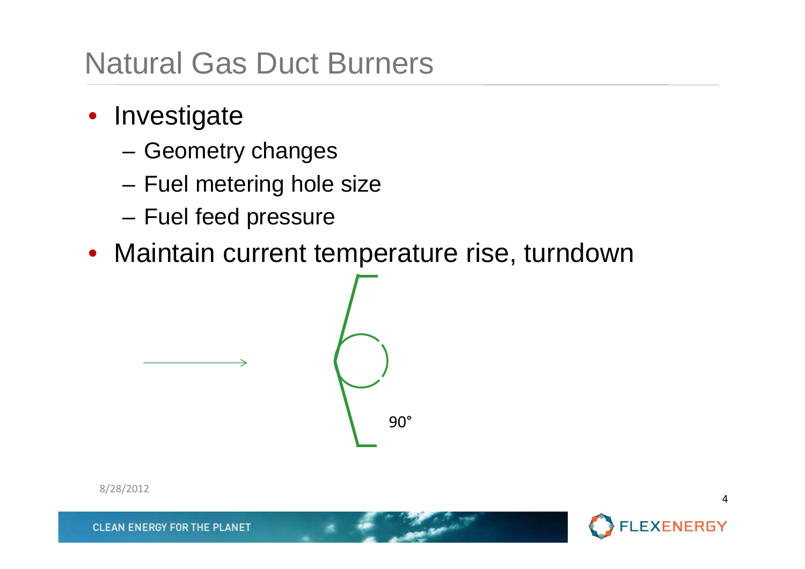#### Natural Gas Duct Burners

- Investigate
	- –Geometry changes
	- –Fuel metering hole size
	- Fuel feed pressure
- Maintain current temperature rise, turndown



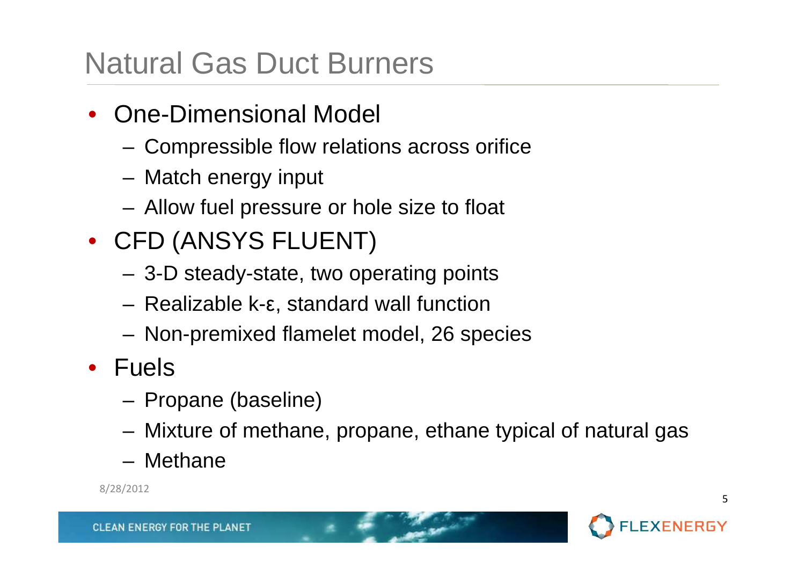## Natural Gas Duct Burners

- • One-Dimensional Model
	- –Compressible flow relations across orifice
	- –Match energy input
	- –Allow fuel pressure or hole size to float
- CFD (ANSYS FLUENT)
	- –3-D steady-state, two operating points
	- –Realizable k-ε, standard wall function
	- –Non-premixed flamelet model, 26 species
- Fuels
	- –Propane (baseline)
	- –Mixture of methane, propane, ethane typical of natural gas
	- –Methane

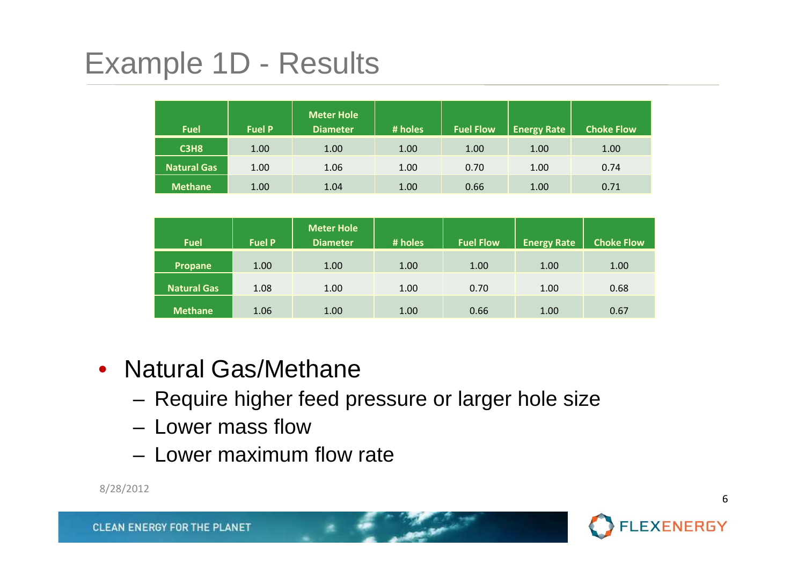# Example 1D - Results

| <b>Fuel</b>        | <b>Fuel P</b> | <b>Meter Hole</b><br>Diameter | # holes | <b>Fuel Flow</b> | <b>Energy Rate</b> | <b>Choke Flow</b> |
|--------------------|---------------|-------------------------------|---------|------------------|--------------------|-------------------|
| <b>C3H8</b>        | 1.00          | 1.00                          | 1.00    | 1.00             | 1.00               | 1.00              |
| <b>Natural Gas</b> | 1.00          | 1.06                          | 1.00    | 0.70             | 1.00               | 0.74              |
| <b>Methane</b>     | 1.00          | 1.04                          | 1.00    | 0.66             | 1.00               | 0.71              |

| <b>Fuel</b>        | <b>Fuel P</b> | <b>Meter Hole</b><br><b>Diameter</b> | # holes | <b>Fuel Flow</b> | <b>Energy Rate</b> | <b>Choke Flow</b> |
|--------------------|---------------|--------------------------------------|---------|------------------|--------------------|-------------------|
| Propane            | 1.00          | 1.00                                 | 1.00    | 1.00             | 1.00               | 1.00              |
| <b>Natural Gas</b> | 1.08          | 1.00                                 | 1.00    | 0.70             | 1.00               | 0.68              |
| <b>Methane</b>     | 1.06          | 1.00                                 | 1.00    | 0.66             | 1.00               | 0.67              |

- Natural Gas/Methane
	- **Links of the Company** Require higher feed pressure or larger hole size
	- **Links of the Company** Lower mass flow
	- Lower mayımı ır Lower maximum flow rate



6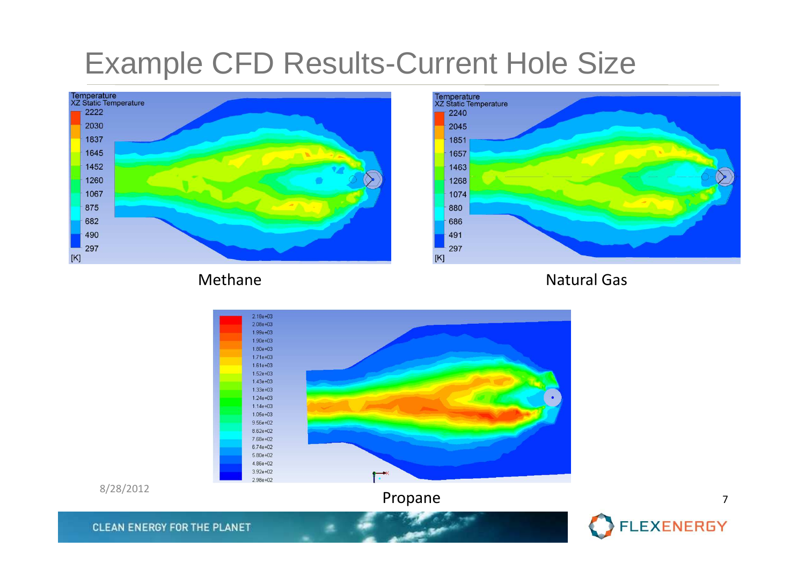#### Example CFD Results-Current Hole Size





#### Methane







**CLEAN ENERGY FOR THE PLANET** 

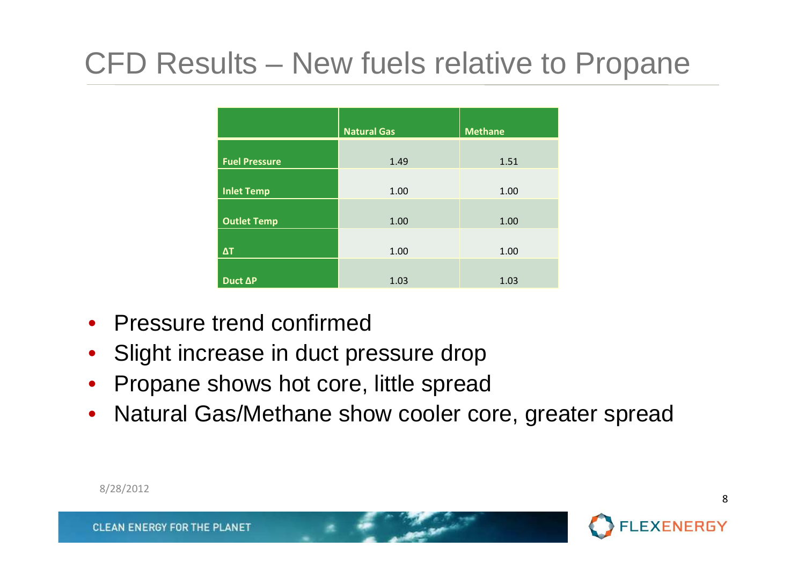# CFD Results – New fuels relative to Propane

|                      | <b>Natural Gas</b> | <b>Methane</b> |  |
|----------------------|--------------------|----------------|--|
| <b>Fuel Pressure</b> | 1.49               | 1.51           |  |
| <b>Inlet Temp</b>    | 1.00               | 1.00           |  |
| <b>Outlet Temp</b>   | 1.00               | 1.00           |  |
| $\Delta T$           | 1.00               | 1.00           |  |
| Duct AP              | 1.03               | 1.03           |  |

- Pressure trend confirmed
- Slight increase in duct pressure drop  $\bullet$
- Propane shows hot core, little spread  $\bullet$
- Natural Gas/Methane show cooler core, greater spread $\bullet$

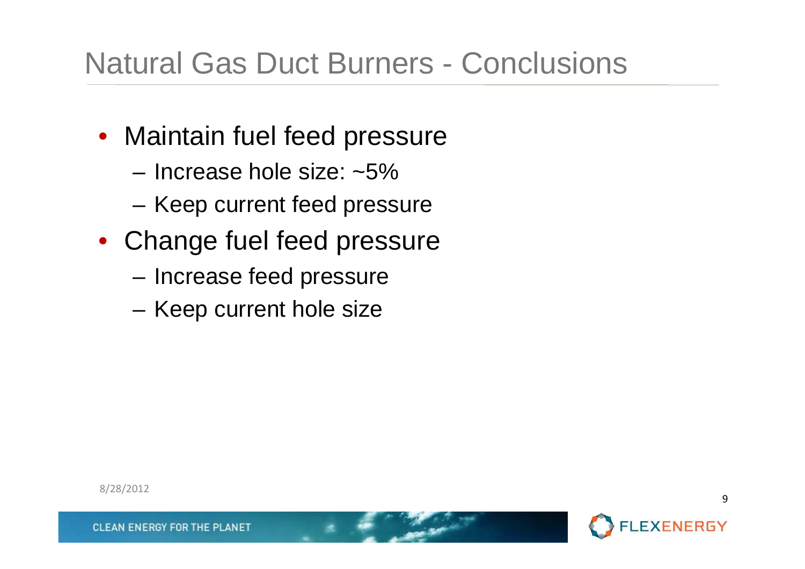# Natural Gas Duct Burners - Conclusions

- Maintain fuel feed pressure
	- **Links of the Common** Increase hole size: ~5%
	- KAAN CUITTANT TAAN NTAG Keep current feed pressure
- Change fuel feed pressure
	- **Links of the Common** Increase feed pressure
	- **Links of the Common** Keep current hole size

8/28/2012

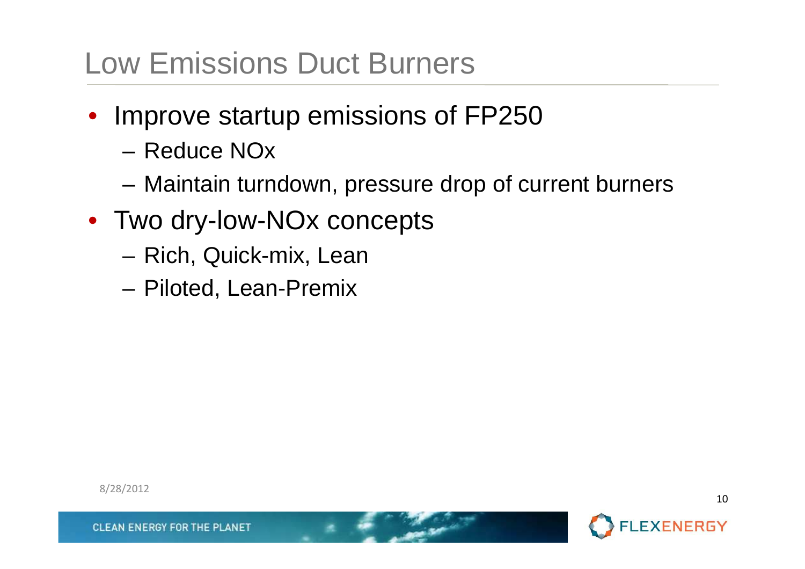### Low Emissions Duct Burners

- $\bullet$  Improve startup emissions of FP250
	- –Reduce NOx
	- –Maintain turndown, pressure drop of current burners
- Two dry-low-NOx concepts
	- –Rich, Quick-mix, Lean
	- –Piloted, Lean-Premix

8/28/2012



10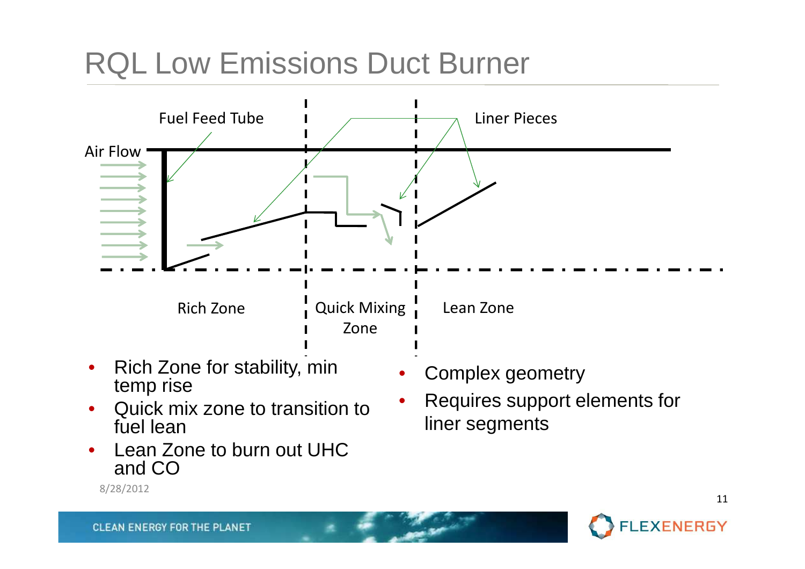# RQL Low Emissions Duct Burner



- $\bullet$  Rich Zone for stability, min temp rise
- Quick mix zone to transition to •fuel lean
- Lean Zone to burn out UHC •and CO
	- 8/28/2012
- •Complex geometry
- • Requires support elements for liner segments

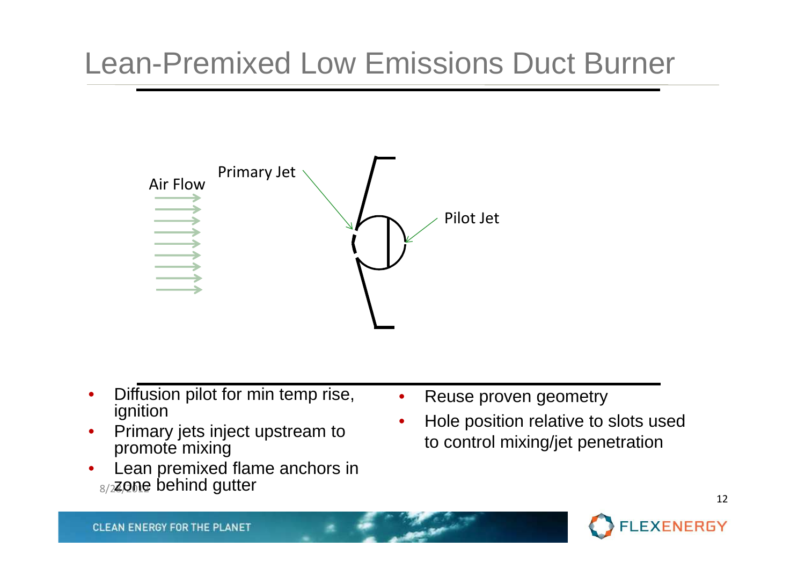# Lean-Premixed Low Emissions Duct Burner



- • Diffusion pilot for min temp rise, ignition
- Primary jets inject upstream to •promote mixing
- <sub>8/2</sub>zone behind gutter Lean premixed flame anchors in •
- •Reuse proven geometry
- • Hole position relative to slots used to control mixing/jet penetration

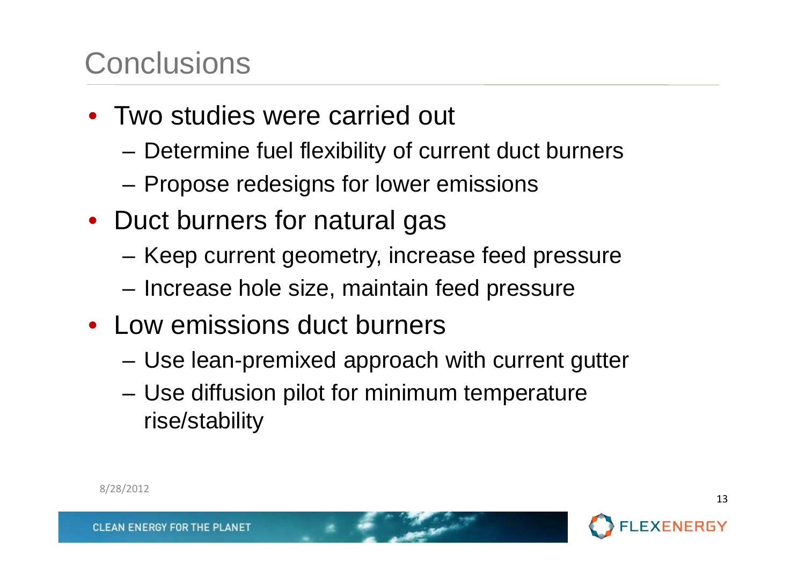### **Conclusions**

- Two studies were carried out
	- –Determine fuel flexibility of current duct burners
	- –Propose redesigns for lower emissions
- Duct burners for natural gas
	- –Keep current geometry, increase feed pressure
	- –Increase hole size, maintain feed pressure
- Low emissions duct burners
	- –Use lean-premixed approach with current gutter
	- – Use diffusion pilot for minimum temperature rise/stability



8/28/2012